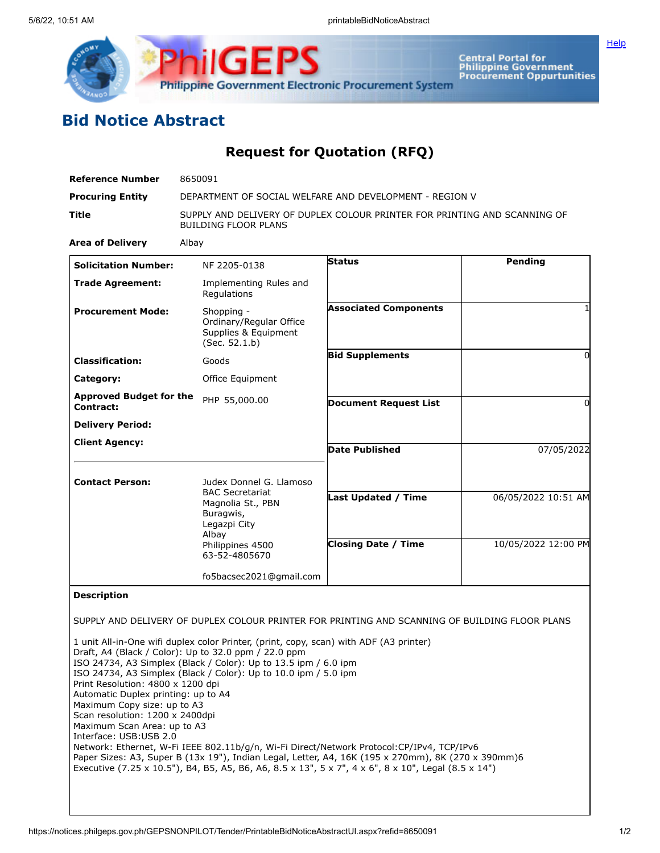

## **Bid Notice Abstract**

## **Request for Quotation (RFQ)**

| <b>Reference Number</b>                                                                                                                                                                             | 8650091                                                                                                                                                                                                                                                                                                                                                                                                                                                                                                                                                                                                                                                                                          |                                                          |                                            |
|-----------------------------------------------------------------------------------------------------------------------------------------------------------------------------------------------------|--------------------------------------------------------------------------------------------------------------------------------------------------------------------------------------------------------------------------------------------------------------------------------------------------------------------------------------------------------------------------------------------------------------------------------------------------------------------------------------------------------------------------------------------------------------------------------------------------------------------------------------------------------------------------------------------------|----------------------------------------------------------|--------------------------------------------|
| <b>Procuring Entity</b>                                                                                                                                                                             | DEPARTMENT OF SOCIAL WELFARE AND DEVELOPMENT - REGION V                                                                                                                                                                                                                                                                                                                                                                                                                                                                                                                                                                                                                                          |                                                          |                                            |
| Title                                                                                                                                                                                               | SUPPLY AND DELIVERY OF DUPLEX COLOUR PRINTER FOR PRINTING AND SCANNING OF<br><b>BUILDING FLOOR PLANS</b>                                                                                                                                                                                                                                                                                                                                                                                                                                                                                                                                                                                         |                                                          |                                            |
| <b>Area of Delivery</b>                                                                                                                                                                             | Albay                                                                                                                                                                                                                                                                                                                                                                                                                                                                                                                                                                                                                                                                                            |                                                          |                                            |
| <b>Solicitation Number:</b>                                                                                                                                                                         | NF 2205-0138                                                                                                                                                                                                                                                                                                                                                                                                                                                                                                                                                                                                                                                                                     | Status                                                   | <b>Pending</b>                             |
| <b>Trade Agreement:</b>                                                                                                                                                                             | Implementing Rules and<br>Regulations                                                                                                                                                                                                                                                                                                                                                                                                                                                                                                                                                                                                                                                            |                                                          |                                            |
| <b>Procurement Mode:</b>                                                                                                                                                                            | Shopping -<br>Ordinary/Regular Office<br>Supplies & Equipment<br>(Sec. 52.1.b)                                                                                                                                                                                                                                                                                                                                                                                                                                                                                                                                                                                                                   | <b>Associated Components</b>                             |                                            |
| <b>Classification:</b>                                                                                                                                                                              | Goods                                                                                                                                                                                                                                                                                                                                                                                                                                                                                                                                                                                                                                                                                            | <b>Bid Supplements</b>                                   | 0                                          |
| Category:                                                                                                                                                                                           | Office Equipment                                                                                                                                                                                                                                                                                                                                                                                                                                                                                                                                                                                                                                                                                 |                                                          |                                            |
| <b>Approved Budget for the</b><br><b>Contract:</b>                                                                                                                                                  | PHP 55,000.00                                                                                                                                                                                                                                                                                                                                                                                                                                                                                                                                                                                                                                                                                    | <b>Document Request List</b>                             | 0                                          |
| <b>Delivery Period:</b>                                                                                                                                                                             |                                                                                                                                                                                                                                                                                                                                                                                                                                                                                                                                                                                                                                                                                                  |                                                          |                                            |
| <b>Client Agency:</b>                                                                                                                                                                               |                                                                                                                                                                                                                                                                                                                                                                                                                                                                                                                                                                                                                                                                                                  | <b>Date Published</b>                                    | 07/05/2022                                 |
| <b>Contact Person:</b>                                                                                                                                                                              | Judex Donnel G. Llamoso<br><b>BAC Secretariat</b><br>Magnolia St., PBN<br>Buragwis,<br>Legazpi City<br>Albay<br>Philippines 4500<br>63-52-4805670                                                                                                                                                                                                                                                                                                                                                                                                                                                                                                                                                | <b>Last Updated / Time</b><br><b>Closing Date / Time</b> | 06/05/2022 10:51 AM<br>10/05/2022 12:00 PM |
|                                                                                                                                                                                                     | fo5bacsec2021@gmail.com                                                                                                                                                                                                                                                                                                                                                                                                                                                                                                                                                                                                                                                                          |                                                          |                                            |
| <b>Description</b>                                                                                                                                                                                  |                                                                                                                                                                                                                                                                                                                                                                                                                                                                                                                                                                                                                                                                                                  |                                                          |                                            |
| Print Resolution: 4800 x 1200 dpi<br>Automatic Duplex printing: up to A4<br>Maximum Copy size: up to A3<br>Scan resolution: 1200 x 2400dpi<br>Maximum Scan Area: up to A3<br>Interface: USB:USB 2.0 | SUPPLY AND DELIVERY OF DUPLEX COLOUR PRINTER FOR PRINTING AND SCANNING OF BUILDING FLOOR PLANS<br>1 unit All-in-One wifi duplex color Printer, (print, copy, scan) with ADF (A3 printer)<br>Draft, A4 (Black / Color): Up to 32.0 ppm / 22.0 ppm<br>ISO 24734, A3 Simplex (Black / Color): Up to 13.5 ipm / 6.0 ipm<br>ISO 24734, A3 Simplex (Black / Color): Up to 10.0 ipm / 5.0 ipm<br>Network: Ethernet, W-Fi IEEE 802.11b/g/n, Wi-Fi Direct/Network Protocol:CP/IPv4, TCP/IPv6<br>Paper Sizes: A3, Super B (13x 19"), Indian Legal, Letter, A4, 16K (195 x 270mm), 8K (270 x 390mm)6<br>Executive (7.25 x 10.5"), B4, B5, A5, B6, A6, 8.5 x 13", 5 x 7", 4 x 6", 8 x 10", Legal (8.5 x 14") |                                                          |                                            |